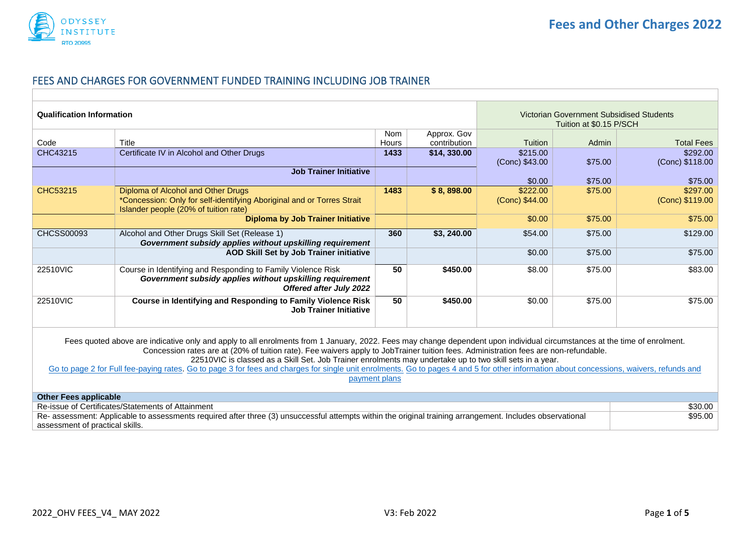

#### <span id="page-0-0"></span>FEES AND CHARGES FOR GOVERNMENT FUNDED TRAINING INCLUDING JOB TRAINER

| <b>Qualification Information</b>                                                                                                                                                                                                                                                                                                                                                                                                                                                                                                                                                                                                          |                                                                                                                                                             |       | Victorian Government Subsidised Students<br>Tuition at \$0.15 P/SCH |                            |         |                             |
|-------------------------------------------------------------------------------------------------------------------------------------------------------------------------------------------------------------------------------------------------------------------------------------------------------------------------------------------------------------------------------------------------------------------------------------------------------------------------------------------------------------------------------------------------------------------------------------------------------------------------------------------|-------------------------------------------------------------------------------------------------------------------------------------------------------------|-------|---------------------------------------------------------------------|----------------------------|---------|-----------------------------|
|                                                                                                                                                                                                                                                                                                                                                                                                                                                                                                                                                                                                                                           |                                                                                                                                                             | Nom   | Approx. Gov                                                         |                            |         |                             |
| Code                                                                                                                                                                                                                                                                                                                                                                                                                                                                                                                                                                                                                                      | Title                                                                                                                                                       | Hours | contribution                                                        | Tuition                    | Admin   | <b>Total Fees</b>           |
| CHC43215                                                                                                                                                                                                                                                                                                                                                                                                                                                                                                                                                                                                                                  | Certificate IV in Alcohol and Other Drugs                                                                                                                   | 1433  | \$14,330.00                                                         | \$215.00<br>(Conc) \$43.00 | \$75.00 | \$292.00<br>(Conc) \$118.00 |
|                                                                                                                                                                                                                                                                                                                                                                                                                                                                                                                                                                                                                                           | <b>Job Trainer Initiative</b>                                                                                                                               |       |                                                                     |                            |         |                             |
|                                                                                                                                                                                                                                                                                                                                                                                                                                                                                                                                                                                                                                           |                                                                                                                                                             |       |                                                                     | \$0.00                     | \$75.00 | \$75.00                     |
| CHC53215                                                                                                                                                                                                                                                                                                                                                                                                                                                                                                                                                                                                                                  | Diploma of Alcohol and Other Drugs<br>*Concession: Only for self-identifying Aboriginal and or Torres Strait<br>Islander people (20% of tuition rate)       | 1483  | \$8,898.00                                                          | \$222.00<br>(Conc) \$44.00 | \$75.00 | \$297.00<br>(Conc) \$119.00 |
|                                                                                                                                                                                                                                                                                                                                                                                                                                                                                                                                                                                                                                           | <b>Diploma by Job Trainer Initiative</b>                                                                                                                    |       |                                                                     | \$0.00                     | \$75.00 | \$75.00                     |
| <b>CHCSS00093</b>                                                                                                                                                                                                                                                                                                                                                                                                                                                                                                                                                                                                                         | Alcohol and Other Drugs Skill Set (Release 1)<br>Government subsidy applies without upskilling requirement                                                  | 360   | \$3,240.00                                                          | \$54.00                    | \$75.00 | \$129.00                    |
|                                                                                                                                                                                                                                                                                                                                                                                                                                                                                                                                                                                                                                           | <b>AOD Skill Set by Job Trainer initiative</b>                                                                                                              |       |                                                                     | \$0.00                     | \$75.00 | \$75.00                     |
| 22510VIC                                                                                                                                                                                                                                                                                                                                                                                                                                                                                                                                                                                                                                  | Course in Identifying and Responding to Family Violence Risk<br>Government subsidy applies without upskilling requirement<br><b>Offered after July 2022</b> | 50    | \$450.00                                                            | \$8.00                     | \$75.00 | \$83.00                     |
| 22510VIC                                                                                                                                                                                                                                                                                                                                                                                                                                                                                                                                                                                                                                  | Course in Identifying and Responding to Family Violence Risk<br><b>Job Trainer Initiative</b>                                                               | 50    | \$450.00                                                            | \$0.00                     | \$75.00 | \$75.00                     |
| Fees quoted above are indicative only and apply to all enrolments from 1 January, 2022. Fees may change dependent upon individual circumstances at the time of enrolment.<br>Concession rates are at (20% of tuition rate). Fee waivers apply to JobTrainer tuition fees. Administration fees are non-refundable.<br>22510VIC is classed as a Skill Set. Job Trainer enrolments may undertake up to two skill sets in a year.<br>Go to page 2 for Full fee-paying rates. Go to page 3 for fees and charges for single unit enrolments. Go to pages 4 and 5 for other information about concessions, waivers, refunds and<br>payment plans |                                                                                                                                                             |       |                                                                     |                            |         |                             |
| <b>Other Fees applicable</b>                                                                                                                                                                                                                                                                                                                                                                                                                                                                                                                                                                                                              |                                                                                                                                                             |       |                                                                     |                            |         |                             |
| Re-issue of Certificates/Statements of Attainment<br>\$30.00                                                                                                                                                                                                                                                                                                                                                                                                                                                                                                                                                                              |                                                                                                                                                             |       |                                                                     |                            |         |                             |
|                                                                                                                                                                                                                                                                                                                                                                                                                                                                                                                                                                                                                                           | Re- assessment: Applicable to assessments required after three (3) unsuccessful attempts within the original training arrangement. Includes observational   |       |                                                                     |                            |         | \$95.00                     |
| assessment of practical skills.                                                                                                                                                                                                                                                                                                                                                                                                                                                                                                                                                                                                           |                                                                                                                                                             |       |                                                                     |                            |         |                             |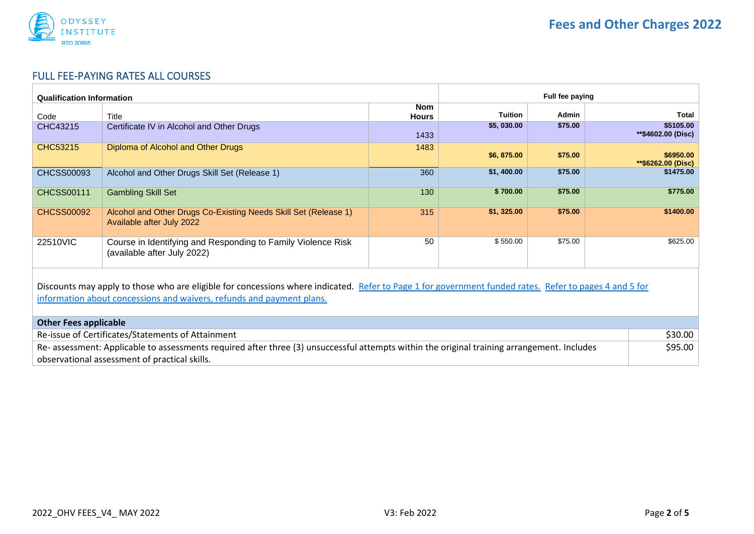

# <span id="page-1-0"></span>FULL FEE-PAYING RATES ALL COURSES

| Full fee paying<br><b>Qualification Information</b>                                                                                                                                                                             |                                                                                              |                            |                |         |                                   |
|---------------------------------------------------------------------------------------------------------------------------------------------------------------------------------------------------------------------------------|----------------------------------------------------------------------------------------------|----------------------------|----------------|---------|-----------------------------------|
| Code                                                                                                                                                                                                                            | Title                                                                                        | <b>Nom</b><br><b>Hours</b> | <b>Tuition</b> | Admin   | Total                             |
| CHC43215                                                                                                                                                                                                                        | Certificate IV in Alcohol and Other Drugs                                                    | 1433                       | \$5,030.00     | \$75.00 | \$5105.00<br>**\$4602.00 (Disc)   |
| CHC53215                                                                                                                                                                                                                        | Diploma of Alcohol and Other Drugs                                                           | 1483                       | \$6,875.00     | \$75.00 | \$6950.00<br>$*$ \$6262.00 (Disc) |
| <b>CHCSS00093</b>                                                                                                                                                                                                               | Alcohol and Other Drugs Skill Set (Release 1)                                                | 360                        | \$1,400.00     | \$75.00 | \$1475.00                         |
| <b>CHCSS00111</b>                                                                                                                                                                                                               | <b>Gambling Skill Set</b>                                                                    | 130                        | \$700.00       | \$75.00 | \$775.00                          |
| <b>CHCSS00092</b>                                                                                                                                                                                                               | Alcohol and Other Drugs Co-Existing Needs Skill Set (Release 1)<br>Available after July 2022 | 315                        | \$1, 325.00    | \$75.00 | \$1400.00                         |
| 22510VIC                                                                                                                                                                                                                        | Course in Identifying and Responding to Family Violence Risk<br>(available after July 2022)  | 50                         | \$550.00       | \$75.00 | \$625.00                          |
| Discounts may apply to those who are eligible for concessions where indicated. Refer to Page 1 for government funded rates. Refer to pages 4 and 5 for<br>information about concessions and waivers, refunds and payment plans. |                                                                                              |                            |                |         |                                   |
| <b>Other Fees applicable</b>                                                                                                                                                                                                    |                                                                                              |                            |                |         |                                   |
| Re-issue of Certificates/Statements of Attainment                                                                                                                                                                               |                                                                                              |                            |                |         | \$30.00                           |
| Re- assessment: Applicable to assessments required after three (3) unsuccessful attempts within the original training arrangement. Includes<br>observational assessment of practical skills.                                    |                                                                                              |                            |                |         | \$95.00                           |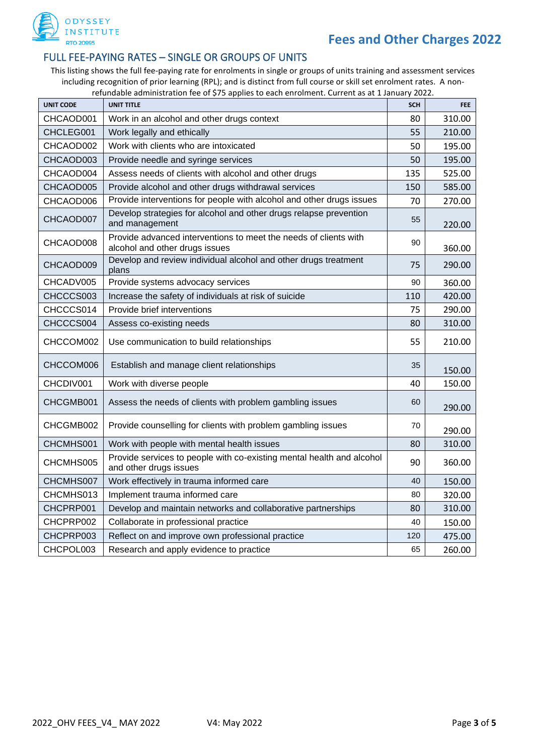<span id="page-2-0"></span>

#### FULL FEE-PAYING RATES – SINGLE OR GROUPS OF UNITS

This listing shows the full fee-paying rate for enrolments in single or groups of units training and assessment services including recognition of prior learning (RPL); and is distinct from full course or skill set enrolment rates. A nonrefundable administration fee of \$75 applies to each enrolment. Current as at 1 January 2022.

| <b>UNIT CODE</b> | <b>UNIT TITLE</b>                                                                                  | <b>SCH</b> | <b>FEE</b> |
|------------------|----------------------------------------------------------------------------------------------------|------------|------------|
| CHCAOD001        | Work in an alcohol and other drugs context                                                         | 80         | 310.00     |
| CHCLEG001        | Work legally and ethically                                                                         | 55         | 210.00     |
| CHCAOD002        | Work with clients who are intoxicated                                                              | 50         | 195.00     |
| CHCAOD003        | Provide needle and syringe services                                                                | 50         | 195.00     |
| CHCAOD004        | Assess needs of clients with alcohol and other drugs                                               | 135        | 525.00     |
| CHCAOD005        | Provide alcohol and other drugs withdrawal services                                                | 150        | 585.00     |
| CHCAOD006        | Provide interventions for people with alcohol and other drugs issues                               | 70         | 270.00     |
| CHCAOD007        | Develop strategies for alcohol and other drugs relapse prevention<br>and management                | 55         | 220.00     |
| CHCAOD008        | Provide advanced interventions to meet the needs of clients with<br>alcohol and other drugs issues | 90         | 360.00     |
| CHCAOD009        | Develop and review individual alcohol and other drugs treatment<br>plans                           | 75         | 290.00     |
| CHCADV005        | Provide systems advocacy services                                                                  | 90         | 360.00     |
| CHCCCS003        | Increase the safety of individuals at risk of suicide                                              | 110        | 420.00     |
| CHCCCS014        | Provide brief interventions                                                                        | 75         | 290.00     |
| CHCCCS004        | Assess co-existing needs                                                                           | 80         | 310.00     |
| CHCCOM002        | Use communication to build relationships                                                           | 55         | 210.00     |
| CHCCOM006        | Establish and manage client relationships                                                          | 35         | 150.00     |
| CHCDIV001        | Work with diverse people                                                                           | 40         | 150.00     |
| CHCGMB001        | Assess the needs of clients with problem gambling issues                                           | 60         | 290.00     |
| CHCGMB002        | Provide counselling for clients with problem gambling issues                                       | 70         | 290.00     |
| CHCMHS001        | Work with people with mental health issues                                                         | 80         | 310.00     |
| CHCMHS005        | Provide services to people with co-existing mental health and alcohol<br>and other drugs issues    | 90         | 360.00     |
| CHCMHS007        | Work effectively in trauma informed care                                                           | 40         | 150.00     |
| CHCMHS013        | Implement trauma informed care                                                                     | 80         | 320.00     |
| CHCPRP001        | Develop and maintain networks and collaborative partnerships                                       | 80         | 310.00     |
| CHCPRP002        | Collaborate in professional practice                                                               | 40         | 150.00     |
| CHCPRP003        | Reflect on and improve own professional practice                                                   | 120        | 475.00     |
| CHCPOL003        | Research and apply evidence to practice                                                            | 65         | 260.00     |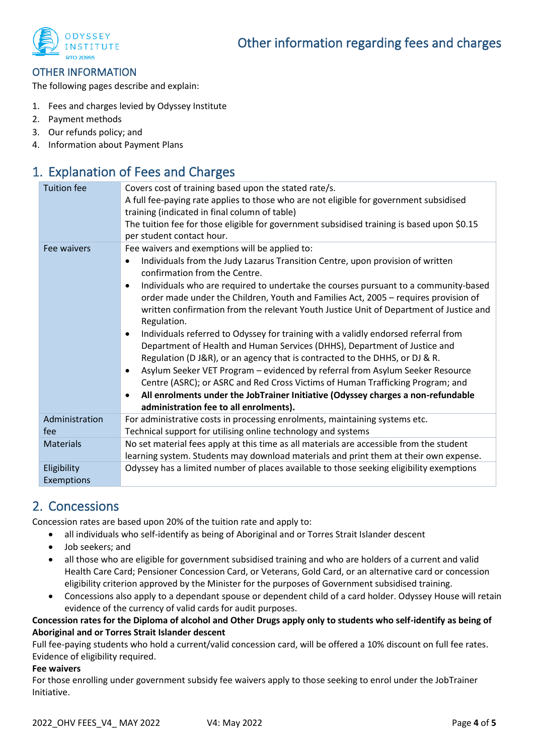<span id="page-3-0"></span>

#### OTHER INFORMATION

The following pages describe and explain:

- 1. Fees and charges levied by Odyssey Institute
- 2. Payment methods
- 3. Our refunds policy; and
- 4. Information about Payment Plans

## 1. Explanation of Fees and Charges

| <b>Tuition fee</b>        | Covers cost of training based upon the stated rate/s.<br>A full fee-paying rate applies to those who are not eligible for government subsidised<br>training (indicated in final column of table)<br>The tuition fee for those eligible for government subsidised training is based upon \$0.15<br>per student contact hour.                                                                                                                                                                                                                                                                                                                                                                                                                                                                                                                                                                                                                                                                                 |
|---------------------------|-------------------------------------------------------------------------------------------------------------------------------------------------------------------------------------------------------------------------------------------------------------------------------------------------------------------------------------------------------------------------------------------------------------------------------------------------------------------------------------------------------------------------------------------------------------------------------------------------------------------------------------------------------------------------------------------------------------------------------------------------------------------------------------------------------------------------------------------------------------------------------------------------------------------------------------------------------------------------------------------------------------|
| Fee waivers               | Fee waivers and exemptions will be applied to:<br>Individuals from the Judy Lazarus Transition Centre, upon provision of written<br>confirmation from the Centre.<br>Individuals who are required to undertake the courses pursuant to a community-based<br>order made under the Children, Youth and Families Act, 2005 - requires provision of<br>written confirmation from the relevant Youth Justice Unit of Department of Justice and<br>Regulation.<br>Individuals referred to Odyssey for training with a validly endorsed referral from<br>Department of Health and Human Services (DHHS), Department of Justice and<br>Regulation (D J&R), or an agency that is contracted to the DHHS, or DJ & R.<br>Asylum Seeker VET Program - evidenced by referral from Asylum Seeker Resource<br>Centre (ASRC); or ASRC and Red Cross Victims of Human Trafficking Program; and<br>All enrolments under the JobTrainer Initiative (Odyssey charges a non-refundable<br>administration fee to all enrolments). |
| Administration            | For administrative costs in processing enrolments, maintaining systems etc.                                                                                                                                                                                                                                                                                                                                                                                                                                                                                                                                                                                                                                                                                                                                                                                                                                                                                                                                 |
| fee                       | Technical support for utilising online technology and systems                                                                                                                                                                                                                                                                                                                                                                                                                                                                                                                                                                                                                                                                                                                                                                                                                                                                                                                                               |
| <b>Materials</b>          | No set material fees apply at this time as all materials are accessible from the student<br>learning system. Students may download materials and print them at their own expense.                                                                                                                                                                                                                                                                                                                                                                                                                                                                                                                                                                                                                                                                                                                                                                                                                           |
| Eligibility<br>Exemptions | Odyssey has a limited number of places available to those seeking eligibility exemptions                                                                                                                                                                                                                                                                                                                                                                                                                                                                                                                                                                                                                                                                                                                                                                                                                                                                                                                    |

## 2. Concessions

Concession rates are based upon 20% of the tuition rate and apply to:

- all individuals who self-identify as being of Aboriginal and or Torres Strait Islander descent
- Job seekers; and
- all those who are eligible for government subsidised training and who are holders of a current and valid Health Care Card; Pensioner Concession Card, or Veterans, Gold Card, or an alternative card or concession eligibility criterion approved by the Minister for the purposes of Government subsidised training.
- Concessions also apply to a dependant spouse or dependent child of a card holder. Odyssey House will retain evidence of the currency of valid cards for audit purposes.

#### **Concession rates for the Diploma of alcohol and Other Drugs apply only to students who self-identify as being of Aboriginal and or Torres Strait Islander descent**

Full fee-paying students who hold a current/valid concession card, will be offered a 10% discount on full fee rates. Evidence of eligibility required.

#### **Fee waivers**

For those enrolling under government subsidy fee waivers apply to those seeking to enrol under the JobTrainer Initiative.